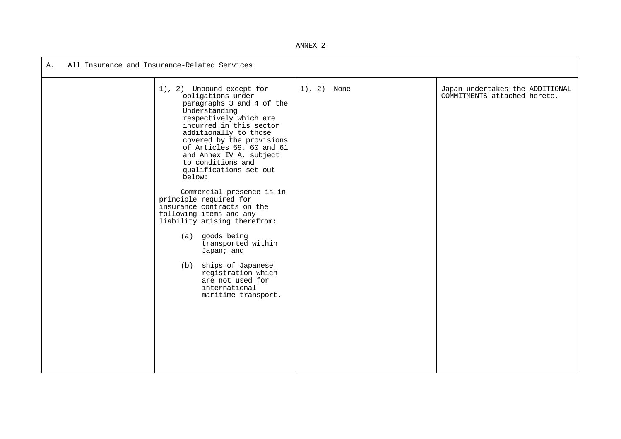ANNEX 2

| All Insurance and Insurance-Related Services<br>Α. |                                                                                                                                                                                                                                                                                                                                                                                                                                                                                                                                                                                                                                               |               |                                                                 |  |  |  |
|----------------------------------------------------|-----------------------------------------------------------------------------------------------------------------------------------------------------------------------------------------------------------------------------------------------------------------------------------------------------------------------------------------------------------------------------------------------------------------------------------------------------------------------------------------------------------------------------------------------------------------------------------------------------------------------------------------------|---------------|-----------------------------------------------------------------|--|--|--|
|                                                    | 1), 2) Unbound except for<br>obligations under<br>paragraphs 3 and 4 of the<br>Understanding<br>respectively which are<br>incurred in this sector<br>additionally to those<br>covered by the provisions<br>of Articles 59, 60 and 61<br>and Annex IV A, subject<br>to conditions and<br>qualifications set out<br>below:<br>Commercial presence is in<br>principle required for<br>insurance contracts on the<br>following items and any<br>liability arising therefrom:<br>(a) goods being<br>transported within<br>Japan; and<br>ships of Japanese<br>(b)<br>registration which<br>are not used for<br>international<br>maritime transport. | $1), 2)$ None | Japan undertakes the ADDITIONAL<br>COMMITMENTS attached hereto. |  |  |  |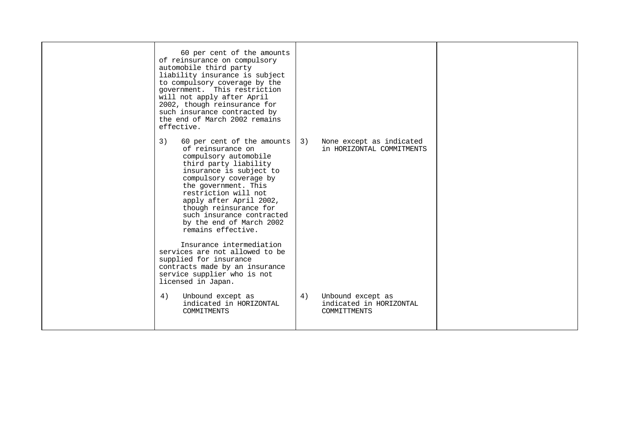| 60 per cent of the amounts<br>of reinsurance on compulsory<br>automobile third party<br>liability insurance is subject<br>to compulsory coverage by the<br>government. This restriction<br>will not apply after April<br>2002, though reinsurance for<br>such insurance contracted by<br>the end of March 2002 remains<br>effective.             |                                                                           |  |
|--------------------------------------------------------------------------------------------------------------------------------------------------------------------------------------------------------------------------------------------------------------------------------------------------------------------------------------------------|---------------------------------------------------------------------------|--|
| 3)<br>60 per cent of the amounts<br>of reinsurance on<br>compulsory automobile<br>third party liability<br>insurance is subject to<br>compulsory coverage by<br>the government. This<br>restriction will not<br>apply after April 2002,<br>though reinsurance for<br>such insurance contracted<br>by the end of March 2002<br>remains effective. | 3)<br>None except as indicated<br>in HORIZONTAL COMMITMENTS               |  |
| Insurance intermediation<br>services are not allowed to be<br>supplied for insurance<br>contracts made by an insurance<br>service supplier who is not<br>licensed in Japan.                                                                                                                                                                      |                                                                           |  |
| Unbound except as<br>4)<br>indicated in HORIZONTAL<br>COMMITMENTS                                                                                                                                                                                                                                                                                | 4)<br>Unbound except as<br>indicated in HORIZONTAL<br><b>COMMITTMENTS</b> |  |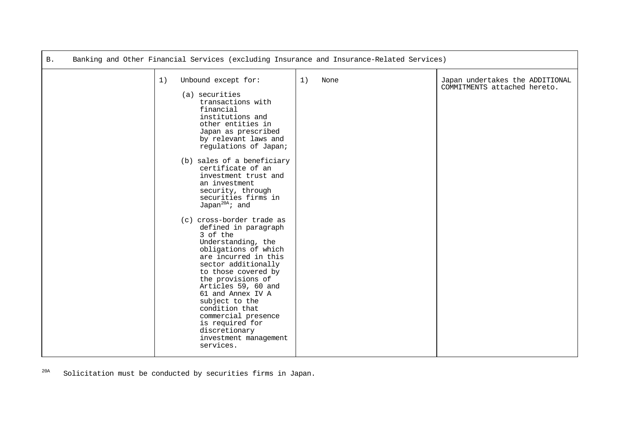| Β. |    | Banking and Other Financial Services (excluding Insurance and Insurance-Related Services)                                                                                                                                                                                                                                                                                                                                                                                                                                                                                                                                                                                                                                                                 |    |      |                                                                 |
|----|----|-----------------------------------------------------------------------------------------------------------------------------------------------------------------------------------------------------------------------------------------------------------------------------------------------------------------------------------------------------------------------------------------------------------------------------------------------------------------------------------------------------------------------------------------------------------------------------------------------------------------------------------------------------------------------------------------------------------------------------------------------------------|----|------|-----------------------------------------------------------------|
|    | 1) | Unbound except for:<br>(a) securities<br>transactions with<br>financial<br>institutions and<br>other entities in<br>Japan as prescribed<br>by relevant laws and<br>regulations of Japan;<br>(b) sales of a beneficiary<br>certificate of an<br>investment trust and<br>an investment<br>security, through<br>securities firms in<br>Japan <sup>20A</sup> ; and<br>(c) cross-border trade as<br>defined in paragraph<br>3 of the<br>Understanding, the<br>obligations of which<br>are incurred in this<br>sector additionally<br>to those covered by<br>the provisions of<br>Articles 59, 60 and<br>61 and Annex IV A<br>subject to the<br>condition that<br>commercial presence<br>is required for<br>discretionary<br>investment management<br>services. | 1) | None | Japan undertakes the ADDITIONAL<br>COMMITMENTS attached hereto. |

<span id="page-2-0"></span><sup>20A</sup> Solicitation must be conducted by securities firms in Japan.